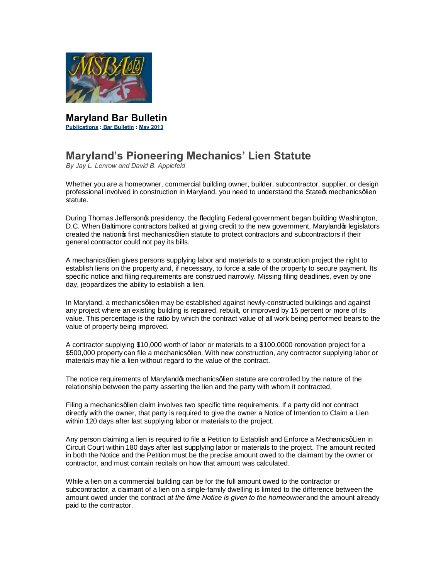

**Maryland Bar Bulletin Publications : Bar Bulletin : May 2013**

## **Maryland's Pioneering Mechanics' Lien Statute**

*By Jay L. Lenrow and David B. Applefeld*

Whether you are a homeowner, commercial building owner, builder, subcontractor, supplier, or design professional involved in construction in Maryland, you need to understand the State mechanics qlien statute.

During Thomas Jeffersonos presidency, the fledgling Federal government began building Washington, D.C. When Baltimore contractors balked at giving credit to the new government, Marylandos legislators created the nation of first mechanics qlien statute to protect contractors and subcontractors if their general contractor could not pay its bills.

A mechanics glien gives persons supplying labor and materials to a construction project the right to establish liens on the property and, if necessary, to force a sale of the property to secure payment. Its specific notice and filing requirements are construed narrowly. Missing filing deadlines, even by one day, jeopardizes the ability to establish a lien.

In Maryland, a mechanicsglien may be established against newly-constructed buildings and against any project where an existing building is repaired, rebuilt, or improved by 15 percent or more of its value. This percentage is the ratio by which the contract value of all work being performed bears to the value of property being improved.

A contractor supplying \$10,000 worth of labor or materials to a \$100,0000 renovation project for a \$500,000 property can file a mechanics glien. With new construction, any contractor supplying labor or materials may file a lien without regard to the value of the contract.

The notice requirements of Maryland  $\boldsymbol{\epsilon}$  mechanics qlien statute are controlled by the nature of the relationship between the party asserting the lien and the party with whom it contracted.

Filing a mechanicsglien claim involves two specific time requirements. If a party did not contract directly with the owner, that party is required to give the owner a Notice of Intention to Claim a Lien within 120 days after last supplying labor or materials to the project.

Any person claiming a lien is required to file a Petition to Establish and Enforce a MechanicsqLien in Circuit Court within 180 days after last supplying labor or materials to the project. The amount recited in both the Notice and the Petition must be the precise amount owed to the claimant by the owner or contractor, and must contain recitals on how that amount was calculated.

While a lien on a commercial building can be for the full amount owed to the contractor or subcontractor, a claimant of a lien on a single-family dwelling is limited to the difference between the amount owed under the contract *at the time Notice is given to the homeowner* and the amount already paid to the contractor.